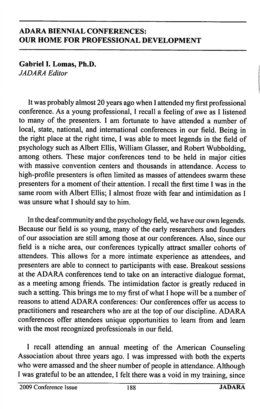Gabriel I. Lomas, Ph.D. JADARA Editor

It was probably almost 20 years ago when 1 attended my first professional conference. As a young professional, 1 recall a feeling of awe as 1 listened to many of the presenters. 1 am fortunate to have attended a number of local, state, national, and international conferences in our field. Being in the right place at the right time, 1 was able to meet legends in the field of psychology such as Albert Ellis, William Glasser, and Robert Wubbolding, among others. These major conferences tend to be held in major cities with massive convention centers and thousands in attendance. Access to high-profile presenters is often limited as masses of attendees swarm these presenters for a moment of their attention. 1 recall the first time 1 was in the same room with Albert Ellis; I almost froze with fear and intimidation as I was unsure what 1 should say to him.

In the deaf community and the psychology field, we have our own legends. Because our field is so young, many of the early researchers and founders of our association are still among those at our conferences. Also, since our field is a niche area, our conferences typically attract smaller cohorts of attendees. This allows for a more intimate experience as attendees, and presenters are able to connect to participants with ease. Breakout sessions at the ADARA conferences tend to take on an interactive dialogue format, as a meeting among friends. The intimidation factor is greatly reduced in such a setting. This brings me to my first of what 1 hope will be a number of reasons to attend ADARA conferences: Our conferences offer us access to practitioners and researchers who are at the top of our discipline. ADARA conferences offer attendees unique opportunities to learn from and learn with the most recognized professionals in our field.

1 recall attending an annual meeting of the American Counseling Association about three years ago. 1 was impressed with both the experts who were amassed and the sheer number of people in attendance. Although 1 was grateful to be an attendee, 1 felt there was a void in my training, since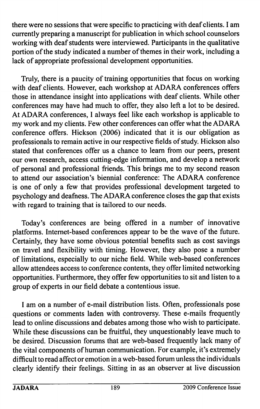there were no sessions that were specific to practicing with deaf clients. I am currently preparing a manuscript for publication in which school counselors working with deaf students were interviewed. Participants in the qualitative portion of the study indicated a number of themes in their work, including a lack of appropriate professional development opportunities.

Truly, there is a paucity of training opportunities that focus on working with deaf clients. However, each workshop at ADARA conferences offers those in attendance insight into applications with deaf clients. While other conferences may have had much to offer, they also left a lot to be desired. At ADARA conferences, I always feel like each workshop is applicable to my work and my clients. Few other conferences can offer what the ADARA conference offers. Hickson (2006) indicated that it is our obligation as professionals to remain active in our respective fields of study. Hickson also stated that conferences offer us a chance to learn from our peers, present our own research, access cutting-edge information, and develop a network of personal and professional friends. This brings me to my second reason to attend our association's biennial conference: The ADARA conference is one of only a few that provides professional development targeted to psychology and deafness. The ADARA conference closes the gap that exists with regard to training that is tailored to our needs.

Today's conferences are being offered in a number of innovative platforms. Internet-based conferences appear to be the wave of the future. Certainly, they have some obvious potential benefits such as cost savings on travel and flexibility with timing. However, they also pose a number of limitations, especially to our niche field. While web-based conferences allow attendees access to conference contents, they offer limited networking opportunities. Furthermore, they offer few opportunities to sit and listen to a group of experts in our field debate a contentious issue.

I am on a number of e-mail distribution lists. Often, professionals pose questions or comments laden with controversy. These e-mails frequently lead to online discussions and debates among those who wish to participate. While these discussions can be fruitful, they unquestionably leave much to be desired. Discussion forums that are web-based frequently lack many of the vital components of human communication. For example, it's extremely difficult to read affect or emotion in a web-based forum unless the individuals clearly identify their feelings. Sitting in as an observer at live discussion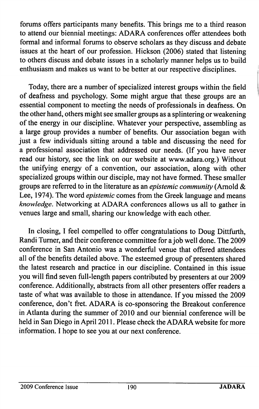forums offers participants many benefits. This brings me to a third reason to attend our biennial meetings: ADARA conferences offer attendees both formal and informal forums to observe scholars as they discuss and debate issues at the heart of our profession. Hickson (2006) stated that listening to others discuss and debate issues in a scholarly manner helps us to build enthusiasm and makes us want to be better at our respective disciplines.

Today, there are a number of specialized interest groups within the field of deafness and psychology. Some might argue that these groups are an essential component to meeting the needs of professionals in deafness. On the other hand, others might see smaller groups as a splintering or weakening of the energy in our discipline. Whatever your perspective, assembling as a large group provides a number of benefits. Our association began with just a few individuals sitting around a table and discussing the need for a professional association that addressed our needs. (If you have never read our history, see the link on our website at www.adara.org.) Without the unifying energy of a convention, our association, along with other specialized groups within our disciple, may not have formed. These smaller groups are referred to in the literature as an epistemic community (Arnold & Lee, 1974). The word epistemic comes from the Greek language and means knowledge. Networking at ADARA conferences allows us all to gather in venues large and small, sharing our knowledge with each other.

In closing, I feel compelled to offer congratulations to Doug Dittfurth, Randi Turner, and their conference committee for a job well done. The 2009 conference in San Antonio was a wonderful venue that offered attendees all of the benefits detailed above. The esteemed group of presenters shared the latest research and practice in our discipline. Contained in this issue you will find seven full-length papers contributed by presenters at our 2009 conference. Additionally, abstracts from all other presenters offer readers a taste of what was available to those in attendance. If you missed the 2009 conference, don't fret. ADARA is co-sponsoring the Breakout conference in Atlanta during the summer of 2010 and our biennial conference will be held in San Diego in April 2011. Please check the ADARA website for more information. I hope to see you at our next conference.